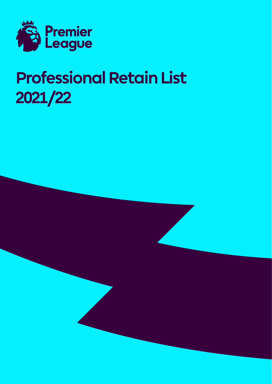

# **Professional Retain List 2021/22**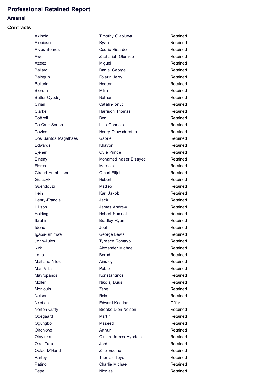# **Professional Retained Report**

## **Arsenal**

| Akinola              | Timothy Olaoluwa          | Retained |
|----------------------|---------------------------|----------|
| Alebiosu             | Ryan                      | Retained |
| <b>Alves Soares</b>  | Cedric Ricardo            | Retained |
| Awe                  | Zachariah Olumide         | Retained |
| Azeez                | Miguel                    | Retained |
| <b>Ballard</b>       | Daniel George             | Retained |
| Balogun              | Folarin Jerry             | Retained |
| <b>Bellerin</b>      | Hector                    | Retained |
| <b>Biereth</b>       | Mika                      | Retained |
| Butler-Oyedeji       | Nathan                    | Retained |
| Cirjan               | Catalin-Ionut             | Retained |
| Clarke               | <b>Harrison Thomas</b>    | Retained |
| Cottrell             | Ben                       | Retained |
| Da Cruz Sousa        | Lino Goncalo              | Retained |
| Davies               | Henry Oluwadurotimi       | Retained |
| Dos Santos Magalhães | Gabriel                   | Retained |
| <b>Edwards</b>       | Khayon                    | Retained |
| Ejeheri              | Ovie Prince               | Retained |
| Elneny               | Mohamed Naser Elsayed     | Retained |
| <b>Flores</b>        | Marcelo                   | Retained |
| Giraud-Hutchinson    | Omari Elijah              | Retained |
| Graczyk              | <b>Hubert</b>             | Retained |
| Guendouzi            | Matteo                    | Retained |
| Hein                 | Karl Jakob                | Retained |
| Henry-Francis        | Jack                      | Retained |
| Hillson              | James Andrew              | Retained |
| Holding              | Robert Samuel             | Retained |
| Ibrahim              | <b>Bradley Ryan</b>       | Retained |
| Ideho                | Joel                      | Retained |
| Igaba-Ishimwe        | George Lewis              | Retained |
| John-Jules           | Tyreece Romayo            | Retained |
| <b>Kirk</b>          | Alexander Michael         | Retained |
| Leno                 | Bernd                     | Retained |
| Maitland-Niles       | Ainsley                   | Retained |
| Mari Villar          | Pablo                     | Retained |
| Mavropanos           | Konstantinos              | Retained |
| Moller               | Nikolaj Duus              | Retained |
| <b>Monlouis</b>      | Zane                      | Retained |
| <b>Nelson</b>        | Reiss                     | Retained |
| <b>Nketiah</b>       | Edward Keddar             | Offer    |
| Norton-Cuffy         | <b>Brooke Dion Nelson</b> | Retained |
| Odegaard             | Martin                    | Retained |
| Ogungbo              | Mazeed                    | Retained |
| Okonkwo              | Arthur                    | Retained |
| Olayinka             | Olujimi James Ayodele     | Retained |
| Osei-Tutu            | Jordi                     | Retained |
| Oulad M'Hand         | Zine-Eddine               | Retained |
| Partey               | Thomas Teye               | Retained |
| Patino               | <b>Charlie Michael</b>    | Retained |
| Pepe                 | <b>Nicolas</b>            | Retained |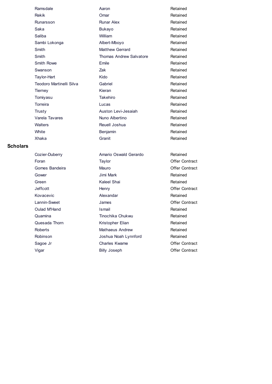Ramsdale **Aaron** Aaron Rekik Omar Runarsson Runar Alex Saka Bukayo Saliba William Sambi Lokonga Albert-Mboyo Smith Matthew Gerrard Smith Rowe **Emile** Swanson **Zak** Taylor-Hart Kido Teodoro Martinelli Silva Gabriel Tierney **Kieran** Tomiyasu Takehiro Torreira Lucas Trusty Auston Levi-Jesaiah Varela Tavares Nuno Albertino Walters **Reuell Joshua** White **Benjamin** Xhaka Granit

#### **Scholars**

Foran Taylor Gomes Bandeira **Mauro** Mauro Gower Jimi Mark Green Kaleel Shai Jeffcott Henry Kovacevic **Alexandar** Lannin-Sweet James Oulad M'Hand **Ismail** Quamina Tinochika Chukwu Quesada Thorn Kristopher Elian Roberts Mathaeus Andrew Sagoe Jr Charles Kwame Vigar Billy Joseph

Smith Thomas Andrew Salvatore Retained Retained Retained Retained Retained Retained Retained Retained Retained Retained Retained Retained Retained Retained Retained Retained Retained Retained Retained Retained

Cozier-Duberry **Amario Oswald Gerardo** Robinson **International Lynnford** Joshua Noah Lynnford

Retained Retained Retained Retained Offer Contract Offer Contract Retained Retained Offer Contract Retained Offer Contract Retained Retained Offer Contract Offer Contract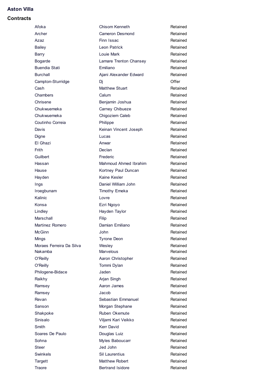#### **Aston Villa**

| Afoka                    | Chisom Kenneth          | Retained |
|--------------------------|-------------------------|----------|
| Archer                   | Cameron Desmond         | Retained |
| Azaz                     | Finn Issac              | Retained |
| <b>Bailey</b>            | Leon Patrick            | Retained |
| Barry                    | Louie Mark              | Retained |
| <b>Bogarde</b>           | Lamare Trenton Chansey  | Retained |
| <b>Buendia Stati</b>     | Emiliano                | Retained |
| <b>Burchall</b>          | Ajani Alexander Edward  | Retained |
| Campton-Sturridge        | Di                      | Offer    |
| Cash                     | <b>Matthew Stuart</b>   | Retained |
| Chambers                 | Calum                   | Retained |
| Chrisene                 | Benjamin Joshua         | Retained |
| Chukwuemeka              | Carney Chibueze         | Retained |
| Chukwuemeka              | Chigoziem Caleb         | Retained |
| Coutinho Correia         | Philippe                | Retained |
| Davis                    | Keinan Vincent Joseph   | Retained |
| Digne                    | Lucas                   | Retained |
| El Ghazi                 | Anwar                   | Retained |
| Frith                    | Declan                  | Retained |
| Guilbert                 | Frederic                | Retained |
| Hassan                   | Mahmoud Ahmed Ibrahim   | Retained |
| Hause                    | Kortney Paul Duncan     | Retained |
| Hayden                   | Kaine Kesler            | Retained |
| Ings                     | Daniel William John     | Retained |
| Iroegbunam               | Timothy Emeka           | Retained |
| Kalinic                  | Lovre                   | Retained |
| Konsa                    | Ezri Ngoyo              | Retained |
| Lindley                  | Hayden Taylor           | Retained |
| Marschall                | Filip                   | Retained |
| <b>Martinez Romero</b>   | Damian Emiliano         | Retained |
| McGinn                   | John                    | Retained |
| Mings                    | <b>Tyrone Deon</b>      | Retained |
| Moraes Ferreira Da Silva | Wesley                  | Retained |
| Nakamba                  | <b>Marvelous</b>        | Retained |
| O'Reilly                 | Aaron Christopher       | Retained |
| O'Reilly                 | Tommi Dylan             | Retained |
| Philogene-Bidace         | Jaden                   | Retained |
| Raikhy                   | Arjan Singh             | Retained |
| Ramsey                   | Aaron James             | Retained |
| Ramsey                   | Jacob                   | Retained |
| Revan                    | Sebastian Emmanuel      | Retained |
| Sanson                   | Morgan Stephane         | Retained |
| Shakpoke                 | Ruben Okemute           | Retained |
| Sinisalo                 | Viljami Kari Veikko     | Retained |
| Smith                    | Kerr David              | Retained |
| Soares De Paulo          | Douglas Luiz            | Retained |
| Sohna                    | Myles Baboucarr         | Retained |
| Steer                    | Jed John                | Retained |
| Swinkels                 | Sil Laurentius          | Retained |
| <b>Targett</b>           | Matthew Robert          | Retained |
| Traore                   | <b>Bertrand Isidore</b> | Retained |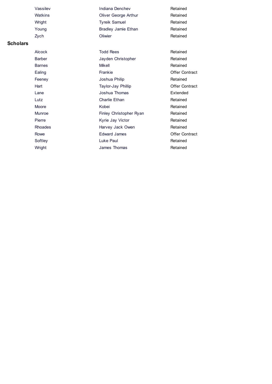Vassilev **Indiana Denchev** Watkins **Watkins** Oliver George Arthur Wright **Tyreik Samuel** Young **Bradley Jamie Ethan** Zych Oliwier Alcock Todd Rees Barber **Graduate Christopher** Jayden Christopher Barnes Mikell Ealing Frankie Feeney **Joshua Philip** Hart Taylor-Jay Phillip Lane **Lane** Joshua Thomas Lutz Charlie Ethan Moore Kobei Munroe Finley Christopher Ryan Pierre Kyrie Jay Victor Rhoades **Harvey Jack Owen** Retained Retained Retained Retained Retained Retained Retained Offer Contract Retained Offer Contract Extended Retained Retained Retained Retained Retained Retained

> Retained Retained

Offer Contract

Softley **Luke Paul** 

**Scholars**

Rowe **Edward James** 

Wright **Wight** James Thomas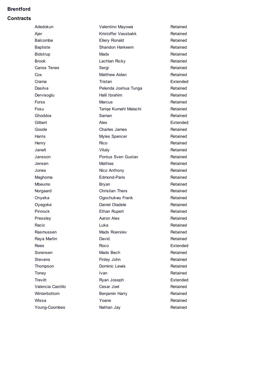## **Brentford**

| Adedokun          | Valentino Mayowa       | Retained |
|-------------------|------------------------|----------|
| Ajer              | Kristoffer Vassbakk    | Retained |
| Balcombe          | <b>Ellery Ronald</b>   | Retained |
| <b>Baptiste</b>   | Shandon Harkeem        | Retained |
| <b>Bidstrup</b>   | Mads                   | Retained |
| <b>Brook</b>      | Lachlan Ricky          | Retained |
| Canos Tenes       | Sergi                  | Retained |
| Cox               | Matthew Aidan          | Retained |
| Crama             | Tristan                | Extended |
| Dasilva           | Pelenda Joshua Tunga   | Retained |
| Dervisoglu        | Halil Ibrahim          | Retained |
| Forss             | Marcus                 | Retained |
| Fosu              | Tariqe Kumahl Malachi  | Retained |
| Ghoddos           | Saman                  | Retained |
| Gilbert           | Alex                   | Extended |
| Goode             | Charles James          | Retained |
| Harris            | Myles Spencer          | Retained |
| Henry             | Rico                   | Retained |
| Janelt            | Vitaly                 | Retained |
| Jansson           | Pontus Sven Gustav     | Retained |
| Jensen            | Mathias                | Retained |
| Jones             | Nico Anthony           | Retained |
| Maghoma           | Edmond-Paris           | Retained |
| Mbeumo            | Bryan                  | Retained |
| Norgaard          | <b>Christian Thers</b> | Retained |
| Onyeka            | Ogochukwu Frank        | Retained |
| Oyegoke           | Daniel Oladele         | Retained |
| Pinnock           | <b>Ethan Rupert</b>    | Retained |
| Pressley          | Aaron Alex             | Retained |
| Racic             | Luka                   | Retained |
| Rasmussen         | Mads Roerslev          | Retained |
| Raya Martin       | David                  | Retained |
| Rees              | Roco                   | Extended |
| Sorensen          | Mads Bech              | Retained |
| Stevens           | Finley John            | Retained |
| Thompson          | Dominic Lewis          | Retained |
| Toney             | Ivan                   | Retained |
| Trevitt           | Ryan Joseph            | Extended |
| Valencia Castillo | Cesar Joel             | Retained |
| Winterbottom      | Benjamin Harry         | Retained |
| Wissa             | Yoane                  | Retained |
| Young-Coombes     | Nathan Jay             | Retained |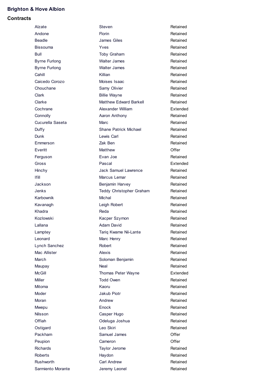# **Brighton & Hove Albion**

| Alzate               | Steven                   | Retained |
|----------------------|--------------------------|----------|
| Andone               | <b>Florin</b>            | Retained |
| <b>Beadle</b>        | James Giles              | Retained |
| <b>Bissouma</b>      | Yves                     | Retained |
| Bull                 | <b>Toby Graham</b>       | Retained |
| <b>Byrne Furlong</b> | <b>Walter James</b>      | Retained |
| <b>Byrne Furlong</b> | <b>Walter James</b>      | Retained |
| Cahill               | Killian                  | Retained |
| Caicedo Corozo       | Moises Isaac             | Retained |
| Chouchane            | Samy Olivier             | Retained |
| Clark                | <b>Billie Wayne</b>      | Retained |
| Clarke               | Matthew Edward Barkell   | Retained |
| Cochrane             | Alexander William        | Extended |
| Connolly             | Aaron Anthony            | Retained |
| Cucurella Saseta     | Marc                     | Retained |
| Duffy                | Shane Patrick Michael    | Retained |
| Dunk                 | Lewis Carl               | Retained |
| Emmerson             | Zak Ben                  | Retained |
| Everitt              | <b>Matthew</b>           | Offer    |
| Ferguson             | Evan Joe                 | Retained |
| Gross                | Pascal                   | Extended |
| Hinchy               | Jack Samuel Lawrence     | Retained |
| <b>Ifill</b>         | Marcus Lemar             | Retained |
| Jackson              | Benjamin Harvey          | Retained |
| Jenks                | Teddy Christopher Graham | Retained |
| Karbownik            | Michal                   | Retained |
| Kavanagh             | Leigh Robert             | Retained |
| Khadra               | Reda                     | Retained |
| Kozlowski            | Kacper Szymon            | Retained |
| Lallana              | Adam David               | Retained |
| Lamptey              | Tariq Kwame Nii-Lante    | Retained |
| Leonard              | Marc Henry               | Retained |
| Lynch Sanchez        | Robert                   | Retained |
| Mac Allister         | Alexis                   | Retained |
| March                | Soloman Benjamin         | Retained |
| Maupay               | Neal                     | Retained |
| <b>McGill</b>        | Thomas Peter Wayne       | Extended |
| <b>Miller</b>        | <b>Todd Owen</b>         | Retained |
| Mitoma               | Kaoru                    | Retained |
| Moder                | Jakub Piotr              | Retained |
| Moran                | Andrew                   | Retained |
| Mwepu                | Enock                    | Retained |
| <b>Nilsson</b>       | Casper Hugo              | Retained |
| Offiah               | Odeluga Joshua           | Retained |
| Ostigard             | Leo Skiri                | Retained |
| Packham              | Samuel James             | Offer    |
| Peupion              | Cameron                  | Offer    |
| <b>Richards</b>      | Taylor Jerome            | Retained |
| Roberts              | Haydon                   | Retained |
| Rushworth            | <b>Carl Andrew</b>       | Retained |
| Sarmiento Morante    | Jeremy Leonel            | Retained |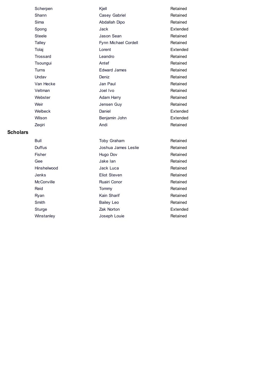Scherpen Kjell Shann Casey Gabriel Sima Abdallah Dipo Spong Jack Steele Jason Sean Talley **Fynn Michael Cordell** Tolaj Lorent Trossard Leandro Tsoungui Antef Turns Edward James Undav Deniz Van Hecke Jan Paul Veltman Joel Ivo Webster **Adam Harry** Weir **Weir** Jensen Guy Welbeck Daniel Wilson **Benjamin John** Zeqiri Andi

Extended Extended Retained Retained Retained Retained Retained Retained Retained Extended Retained Retained Extended Retained Retained Retained Retained Retained

# Bull **Bull** Toby Graham Duffus **Duffus** Joshua James Leslie Fisher Hugo Dov Gee Jake Ian Hinshelwood Jack Luca Jenks Eliot Steven McConville Ruairi Conor Reid Tommy Ryan Kain Sharif Smith Bailey Leo Sturge Zak Norton Winstanley Joseph Louie

**Scholars**

Retained Retained Extended Retained Retained Retained Retained Retained Retained Retained Retained

Retained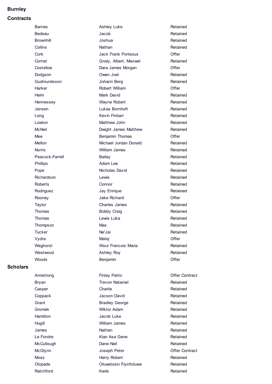## **Burnley**

## **Contracts**

**Scholars**

| <b>Barnes</b>    | <b>Ashley Luke</b>         | Retained  |
|------------------|----------------------------|-----------|
| Bedeau           | Jacob                      | Retained  |
| <b>Brownhill</b> | Joshua                     | Retained  |
| Collins          | Nathan                     | Retained  |
| Cork             | <b>Jack Frank Porteous</b> | Offer     |
| Cornet           | Gnaly, Albert, Maxwel      | Retained  |
| Costelloe        | Dara James Morgan          | Offer     |
| Dodgson          | Owen Joel                  | Retained  |
| Gudmundsson      | Johann Berg                | Retained  |
| Harker           | Robert William             | Offer     |
| Helm             | Mark David                 | Retained  |
| Hennessey        | Wayne Robert               | Retained  |
| Jensen           | Lukas Bornhoft             | Retained  |
| Long             | Kevin Finbarr              | Retained  |
| Lowton           | Matthew John               | Retained  |
| <b>McNeil</b>    | Dwight James Matthew       | Retained  |
| Mee              | Benjamin Thomas            | Offer     |
| <b>Mellon</b>    | Michael Jordan Donald      | Retained  |
| <b>Norris</b>    | William James              | Retained  |
| Peacock-Farrell  | <b>Bailey</b>              | Retained  |
| <b>Phillips</b>  | Adam Lee                   | Retained  |
| Pope             | Nicholas David             | Retained  |
| Richardson       | Lewis                      | Retained  |
| <b>Roberts</b>   | Connor                     | Retained  |
| Rodriguez        | Jay Enrique                | Retained  |
| Rooney           | <b>Jake Richard</b>        | Offer     |
| Taylor           | Charles James              | Retained  |
| <b>Thomas</b>    | <b>Bobby Craig</b>         | Retained  |
| Thomas           | Lewis Luka                 | Retained  |
| Thompson         | Max                        | Retained  |
| Tucker           | Ne'Jai                     | Retained  |
| Vydra            | Matej                      | Offer     |
| Weghorst         | Wout Francois Maria        | Retained  |
| Westwood         | Ashley Roy                 | Retained  |
| Woods            | Benjamin                   | Offer     |
|                  |                            |           |
| Armstrong        | <b>Finlay Patric</b>       | Offer Cor |
| <b>Bryan</b>     | <b>Trevon Nataniel</b>     | Retained  |
| Casper           | Charlie                    | Retained  |
| Coppack          | Jacson David               | Retained  |
| Grant            | <b>Bradley George</b>      | Retained  |
| Gromek           | <b>Wiktor Adam</b>         | Retained  |
| Hamilton         | Jacob Luke                 | Retained  |
| Hugill           | <b>William James</b>       | Retained  |
| James            | Nathan                     | Retained  |
| Le Fondre        | Kian Asa Gene              | Retained  |
| McCullough       | Dane Neil                  | Retained  |
| McGlynn          | Joseph Peter               | Offer Cor |
| Moss             | Harry Robert               | Retained  |
| Olopade          | Oluwatosin Fiyinfoluwa     | Retained  |
|                  |                            |           |

Ratchford Kade

Retained Offer Retained Retained **Offer** Retained Offer Retained Retained Retained Retained Retained Retained Retained Retained Retained Retained Retained Retained Retained Retained **Offer** Retained **Offer** Retained Retained **Offer** Retained Retained Retained Retained **Offer** Retained

Retained Retained Retained Retained Retained Retained Retained Retained Offer Contract Offer Contract Retained Retained Retained Retained Retained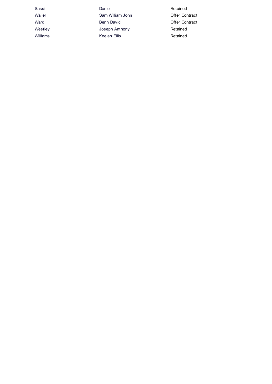| Sassi    | Daniel           | Retained              |
|----------|------------------|-----------------------|
| Waller   | Sam William John | <b>Offer Contract</b> |
| Ward     | Benn David       | <b>Offer Contract</b> |
| Westley  | Joseph Anthony   | Retained              |
| Williams | Keelan Ellis     | Retained              |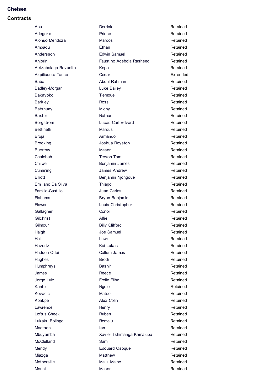## **Chelsea**

## **Contracts**

| Abu                   | Derrick                      | Retained |
|-----------------------|------------------------------|----------|
| Adegoke               | Prince                       | Retained |
| Alonso Mendoza        | Marcos                       | Retained |
| Ampadu                | Ethan                        | Retained |
| Andersson             | <b>Edwin Samuel</b>          | Retained |
| Anjorin               | Faustino Adebola Rasheed     | Retained |
| Arrizabalaga Revuelta | Kepa                         | Retained |
| Azpilicueta Tanco     | Cesar                        | Extende  |
| Baba                  | Abdul Rahman                 | Retained |
| Badley-Morgan         | Luke Bailey                  | Retained |
| Bakayoko              | Tiemoue                      | Retained |
| <b>Barkley</b>        | Ross                         | Retained |
| Batshuayi             | Michy                        | Retained |
| Baxter                | Nathan                       | Retained |
| Bergstrom             | Lucas Carl Edvard            | Retained |
| <b>Bettinelli</b>     | Marcus                       | Retained |
| Broja                 | Armando                      | Retained |
| <b>Brooking</b>       | Joshua Royston               | Retained |
| <b>Burstow</b>        | Mason                        | Retained |
| Chalobah              | <b>Trevoh Tom</b>            | Retained |
| Chilwell              | Benjamin James               | Retained |
| Cumming               | <b>James Andrew</b>          | Retained |
| Elliott               |                              | Retained |
| Emiliano Da Silva     | Benjamin Njongoue            | Retained |
| Familia-Castillo      | Thiago<br><b>Juan Carlos</b> | Retained |
|                       |                              |          |
| Fiabema               | Bryan Benjamin               | Retained |
| Flower                | Louis Christopher            | Retained |
| Gallagher             | Conor                        | Retained |
| Gilchrist             | Alfie                        | Retained |
| Gilmour               | <b>Billy Clifford</b>        | Retained |
| Haigh                 | Joe Samuel                   | Retained |
| Hall                  | Lewis                        | Retained |
| Havertz               | Kai Lukas                    | Retained |
| Hudson-Odoi           | Callum James                 | Retained |
| Hughes                | <b>Brodi</b>                 | Retained |
| <b>Humphreys</b>      | Bashir                       | Retained |
| James                 | Reece                        | Retained |
| Jorge Luiz            | Frello Filho                 | Retained |
| Kante                 | Ngolo                        | Retained |
| Kovacic               | Mateo                        | Retained |
| Kpakpe                | Alex Colin                   | Retained |
| Lawrence              | Henry                        | Retained |
| Loftus Cheek          | Ruben                        | Retained |
| Lukaku Bolingoli      | Romelu                       | Retained |
| Maatsen               | lan                          | Retained |
| Mbuyamba              | Xavier Tshimanga Kamaluba    | Retained |
| McClelland            | Sam                          | Retained |
| Mendy                 | <b>Edouard Osoque</b>        | Retained |
| Miazga                | Matthew                      | Retained |
| Mothersille           | <b>Malik Maine</b>           | Retained |
| Mount                 | Mason                        | Retained |

Retained Retained Retained Retained Retained Retained Retained Retained Retained Retained Retained Retained Retained Retained Retained Retained Retained Retained Retained Retained Retained Retained Retained Retained Retained Retained Retained Retained Retained Retained Retained Retained Retained Retained Retained Retained Retained Retained Retained Retained Retained Retained Retained Retained Retained Retained Retained Extended Retained

Retained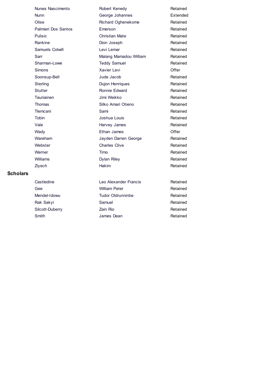Nunes Nascimento Robert Kenedy Nunn George Johannes Olise Richard Oghenekome Palmieri Dos Santos Emerson Pulisic **Christian Mate** Rankine Dion Joseph Samuels Colwill **Levi Leman** Sarr Malang Mamadou William Sharman-Lowe Teddy Samuel Simons Xavier Levi Soonsup-Bell Jude Jacob Sterling Dujon Henriques Stutter Ronnie Edward Tauriainen **Jimi Weikko** Thomas Silko Amari Otieno Tlemcani Sami Tobin Joshua Louis Vale **Vale Harvey James** Wady **Ethan James** Wareham Jayden Darren George Webster Charles Clive Werner Timo Williams Dylan Riley Ziyech Hakim Castledine Leo Alexander Francis Gee William Peter Mendel-Idowu Tudor Oldrunninbe Rak Sakyi Samuel Retained Retained Retained Retained Retained Retained **Offer** Retained Retained Retained Retained Retained Retained Retained Retained Retained Retained Retained Retained Retained Retained **Offer** Retained Retained Extended Retained Retained Retained

> Retained Retained

Silcott-Duberry Zain Rio Smith James Dean

**Scholars**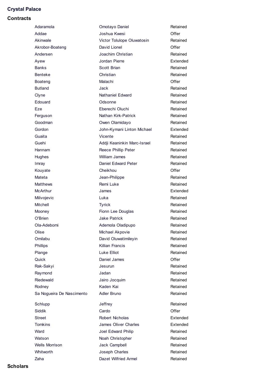# **Crystal Palace**

| Adaramola                 | Omotayo Daniel              | Retained |
|---------------------------|-----------------------------|----------|
| Addae                     | Joshua Kwesi                | Offer    |
| Akinwale                  | Victor Tolulope Oluwatosin  | Retained |
| Akrobor-Boateng           | David Lionel                | Offer    |
| Andersen                  | Joachim Christian           | Retained |
| Ayew                      | Jordan Pierre               | Extended |
| Banks                     | Scott Brian                 | Retained |
| <b>Benteke</b>            | Christian                   | Retained |
| Boateng                   | Malachi                     | Offer    |
| <b>Butland</b>            | Jack                        | Retained |
| Clyne                     | <b>Nathaniel Edward</b>     | Retained |
| Edouard                   | Odsonne                     | Retained |
| Eze                       | Eberechi Oluchi             | Retained |
| Ferguson                  | Nathan Kirk-Patrick         | Retained |
| Goodman                   | Owen Olamidayo              | Retained |
| Gordon                    | John-Kymani Linton Michael  | Extended |
| Guaita                    | Vicente                     | Retained |
| Guehi                     | Addji Keaninkin Marc-Israel | Retained |
| Hannam                    | Reece Phillip Peter         | Retained |
| Hughes                    | William James               | Retained |
| Imray                     | Daniel Edward Peter         | Retained |
| Kouyate                   | Cheikhou                    | Offer    |
| Mateta                    | Jean-Philippe               | Retained |
| <b>Matthews</b>           | Remi Luke                   | Retained |
| McArthur                  | James                       | Extended |
| Milivojevic               | Luka                        | Retained |
| Mitchell                  | <b>Tyrick</b>               | Retained |
| Mooney                    | Fionn Lee Douglas           | Retained |
| O'Brien                   | Jake Patrick                | Retained |
| Ola-Adebomi               | Ademola Oladipupo           | Retained |
| Olise                     | Michael Akpovie             | Retained |
| Omilabu                   | David Oluwatimileyin        | Retained |
| Phillips                  | <b>Killian Francis</b>      | Retained |
| Plange                    | Luke Elliot                 | Retained |
| Quick                     | Daniel James                | Offer    |
| Rak-Sakyi                 | Jesurun                     | Retained |
| Raymond                   | Jadan                       | Retained |
| Riedewald                 | Jairo Jocquim               | Retained |
| Rodney                    | Kaden Kai                   | Retained |
| Sa Nogueira De Nascimento | Adler Bruno                 | Retained |
| Schlupp                   | Jeffrey                     | Retained |
| <b>Siddik</b>             | Cardo                       | Offer    |
| Street                    | <b>Robert Nicholas</b>      | Extended |
| Tomkins                   | James Oliver Charles        | Extended |
| Ward                      | Joel Edward Philip          | Retained |
| Watson                    | Noah Christopher            | Retained |
| <b>Wells Morrison</b>     | Jack Campbell               | Retained |
| Whitworth                 | Joseph Charles              | Retained |
| Zaha                      | Dazet Wilfried Armel        | Retained |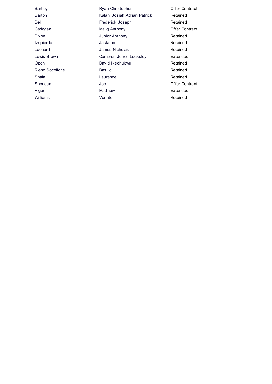Bartley **Bartley** Ryan Christopher Barton **Kalani Josiah Adrian Patrick** Bell Frederick Joseph Cadogan Maliq Anthony Dixon Junior Anthony Izquierdo Jackson Leonard **James Nicholas** Lewis-Brown Cameron Jorrell Locksley Ozoh David Ikechukwu Rieno Socoliche **Basilio** Shala **Laurence** Sheridan Joe Vigor Matthew Williams Vonnte Extended Retained Retained Extended Retained Retained Retained Offer Contract Offer Contract Retained Retained Offer Contract Retained Retained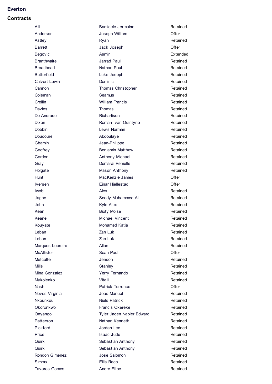# **Everton**

| Alli                 | Bamidele Jermaine         | Retained |
|----------------------|---------------------------|----------|
| Anderson             | Joseph William            | Offer    |
| Astley               | Ryan                      | Retained |
| <b>Barrett</b>       | Jack Joseph               | Offer    |
| <b>Begovic</b>       | Asmir                     | Extended |
| <b>Branthwaite</b>   | Jarrad Paul               | Retained |
| <b>Broadhead</b>     | Nathan Paul               | Retained |
| <b>Butterfield</b>   | Luke Joseph               | Retained |
| Calvert-Lewin        | Dominic                   | Retained |
| Cannon               | Thomas Christopher        | Retained |
| Coleman              | Seamus                    | Retained |
| Crellin              | <b>William Francis</b>    | Retained |
| Davies               | <b>Thomas</b>             | Retained |
| De Andrade           | Richarlison               | Retained |
| Dixon                | Roman Ivan Quintyne       | Retained |
| Dobbin               | Lewis Norman              | Retained |
| Doucoure             | Abdoulaye                 | Retained |
| Gbamin               | Jean-Philippe             | Retained |
| Godfrey              | <b>Benjamin Matthew</b>   | Retained |
| Gordon               | Anthony Michael           | Retained |
| Gray                 | Demarai Remelle           | Retained |
| Holgate              | Mason Anthony             | Retained |
| Hunt                 | MacKenzie James           | Offer    |
| Iversen              | Einar Hjellestad          | Offer    |
| Iwobi                | Alex                      | Retained |
| Jagne                | Seedy Muhammed Ali        | Retained |
| John                 | <b>Kyle Alex</b>          | Retained |
| Kean                 | <b>Bioty Moise</b>        | Retained |
| Keane                | Michael Vincent           | Retained |
| Kouyate              | Mohamed Katia             | Retained |
| Leban                | Zan Luk                   | Retained |
| Leban                | Zan Luk                   | Retained |
| Marques Loureiro     | Allan                     | Retained |
| <b>McAllister</b>    | Sean Paul                 | Offer    |
| Metcalfe             | Jenson                    | Retained |
| Mills                | Stanley                   | Retained |
| Mina Gonzalez        | Yerry Fernando            | Retained |
| Mykolenko            | Vitalii                   | Retained |
| Nash                 | <b>Patrick Terrence</b>   | Offer    |
| Neves Virginia       | Joao Manuel               | Retained |
| Nkounkou             | Niels Patrick             | Retained |
| Okoronkwo            | Francis Okereke           | Retained |
| Onyango              | Tyler Jaden Napier Edward | Retained |
| Patterson            | Nathan Kenneth            | Retained |
| Pickford             | Jordan Lee                | Retained |
| Price                | Isaac Jude                | Retained |
| Quirk                | Sebastian Anthony         | Retained |
| Quirk                | Sebastian Anthony         | Retained |
| Rondon Gimenez       | Jose Salomon              | Retained |
| Simms                | <b>Ellis Reco</b>         | Retained |
| <b>Tavares Gomes</b> | Andre Filipe              | Retained |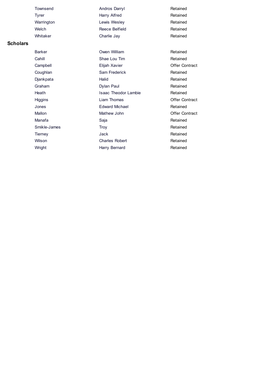Townsend **Andros Darryl** Tyrer **Harry Alfred** Warrington **Lewis Wesley** Welch Reece Belfield Whitaker Charlie Jay

## **Scholars**

Cahill **Shae Lou Tim** Campbell **Elijah Xavier** Djankpata **Halid** Graham Dylan Paul Higgins Liam Thomas Mallon Mathew John Manafa Saja Smikle-James Troy Tierney **Jack** 

Barker **Owen William** Coughlan Sam Frederick Heath Isaac Theodor Lambie Jones Edward Michael Wilson **Charles Robert** Wright **Harry Bernard** 

Retained Retained Retained Retained Retained

Retained Retained Retained Retained Retained Retained Retained Retained Offer Contract Retained Offer Contract Retained Retained Offer Contract Retained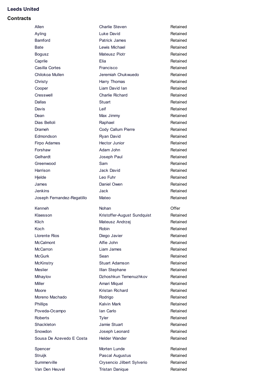## **Leeds United**

|                             | Retained              |
|-----------------------------|-----------------------|
| Luke David                  | Retained              |
| <b>Patrick James</b>        | Retained              |
| Lewis Michael               | Retained              |
| Mateusz Piotr               | Retained              |
| Elia                        | Retained              |
| Francisco                   | Retained              |
| Jeremiah Chukwuedo          | Retained              |
| Harry Thomas                | Retained              |
| Liam David Ian              | Retained              |
| <b>Charlie Richard</b>      | Retained              |
| Stuart                      | Retained              |
| Leif                        | Retained              |
| Max Jimmy                   | Retained              |
| Raphael                     | Retained              |
| Cody Callum Pierre          | Retained              |
| Ryan David                  | Retained              |
| <b>Hector Junior</b>        | Retained              |
| Adam John                   | Retained              |
| Joseph Paul                 | Retained              |
| Sam                         | Retained              |
| Jack David                  | Retained              |
| Leo Fuhr                    | Retained              |
| Daniel Owen                 | Retained              |
| Jack                        | Retained              |
|                             |                       |
| Mateo                       | Retained              |
| Nohan                       | Offer                 |
| Kristoffer-August Sundquist | Retained              |
| Mateusz Andrzej             | Retained              |
| Robin                       | Retained              |
| Diego Javier                | Retained              |
| Alfie John                  | Retained              |
| Liam James                  | Retained              |
| Sean                        | Retained              |
| Stuart Adamson              | Retained              |
| Illan Stephane              | Retained              |
| Dzhoshkun Temenuzhkov       | Retained              |
| Amari Miquel                | Retained              |
| Kristan Richard             | Retained              |
| Rodrigo                     | Retained              |
| <b>Kalvin Mark</b>          | Retained              |
| Ian Carlo                   | Retained              |
| Tyler                       | Retained              |
| Jamie Stuart                | Retained              |
| Joseph Leonard              | Retained              |
| <b>Helder Wander</b>        | Retained              |
| Morten Lunde                | Retained              |
| Pascal Augustus             | Retained              |
| Crysencio Jilbert Sylverio  | Retained              |
|                             | <b>Charlie Steven</b> |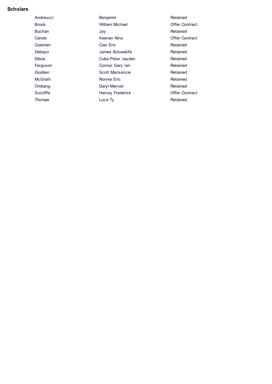# **Scholars**

| Andreucci    | Benjamin                | Retained              |
|--------------|-------------------------|-----------------------|
| <b>Brook</b> | <b>William Michael</b>  | Offer Contract        |
| Buchan       | Jay                     | Retained              |
| Carole       | Keenan Nino             | Offer Contract        |
| Coleman      | Cian Eric               | Retained              |
| Debayo       | James Boluwatife        | Retained              |
| <b>Diboe</b> | Cuba Peter Jayden       | Retained              |
| Ferguson     | Connor Gary Ian         | Retained              |
| Godden       | Scott Mackenzie         | Retained              |
| McGrath      | Ronnie Eric             | Retained              |
| Ombang       | Daryl Merveil           | Retained              |
| Sutcliffe    | <b>Harvey Frederick</b> | <b>Offer Contract</b> |
| Thomas       | Luca Ty                 | Retained              |
|              |                         |                       |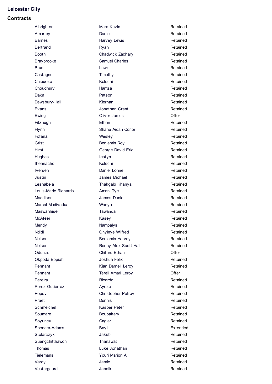## **Leicester City**

## **Contracts**

| Albrighton            | Marc Kevin                |
|-----------------------|---------------------------|
| Amartey               | Daniel                    |
| <b>Barnes</b>         | Harvey Lewis              |
| <b>Bertrand</b>       | Ryan                      |
| <b>Booth</b>          | Chadwick Zachary          |
| <b>Braybrooke</b>     | <b>Samuel Charles</b>     |
| <b>Brunt</b>          | Lewis                     |
| Castagne              | Timothy                   |
| Chibueze              | Kelechi                   |
| Choudhury             | Hamza                     |
| Daka                  | Patson                    |
| Dewsbury-Hall         | Kiernan                   |
| Evans                 | Jonathan Grant            |
| Ewing                 | Oliver James              |
| Fitzhugh              | <b>Ethan</b>              |
| Flynn                 | Shane Aidan Conor         |
| Fofana                | Wesley                    |
| Grist                 | Benjamin Roy              |
| Hirst                 | George David Eric         |
| Hughes                | lestyn                    |
| Iheanacho             | Kelechi                   |
| Iversen               | Daniel Lonne              |
| Justin                | James Michael             |
| Leshabela             | Thakgalo Khanya           |
| Louis-Marie Richards  | Amani Tye                 |
| Maddison              | James Daniel              |
| Marcal Madivadua      | Wanya                     |
| Maswanhise            | Tawanda                   |
| McAteer               |                           |
|                       | Kasey                     |
| Mendy<br><b>Ndidi</b> | Nampalys                  |
| Nelson                | Onyinye Wilfred           |
|                       | Benjamin Harvey           |
| <b>Nelson</b>         | Ronny Alex Scott Hall     |
| Odunze                | Chituru Ethan             |
| Okpoda Eppiah         | Joshua Felix              |
| Pennant               | Kian Darnell Leroy        |
| Pennant               | <b>Terell Amari Leroy</b> |
| Pereira               | Ricardo                   |
| Perez Gutierrez       | Ayoze                     |
| Popov                 | <b>Christopher Petrov</b> |
| Praet                 | Dennis                    |
| Schmeichel            | Kasper Peter              |
| Soumare               | Boubakary                 |
| Soyuncu               | Caglar                    |
| Spencer-Adams         | Bayli                     |
| Stolarczyk            | Jakub                     |
| Suengchitthawon       | Thanawat                  |
| Thomas                | Luke Jonathan             |
| Tielemans             | Youri Marion A            |
| Vardy                 | Jamie                     |
| Vestergaard           | Jannik                    |

Retained Retained Retained Retained Retained Retained Retained Extended Retained Retained Retained **Offer** Retained Retained Retained Retained Retained Retained Retained Retained **Offer** Retained Retained Retained Retained Retained Retained Retained Retained Retained Retained Retained Retained Retained Retained Retained **Offer** Retained Retained Retained Retained Retained Retained Retained Retained Retained Retained Retained Retained Retained Retained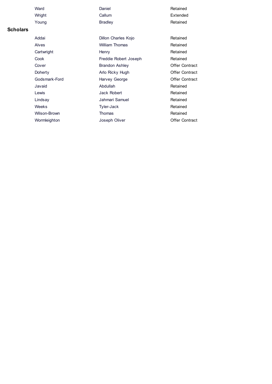|                 | Ward          | Daniel                | Retained              |
|-----------------|---------------|-----------------------|-----------------------|
|                 | Wright        | Callum                | Extended              |
|                 | Young         | <b>Bradley</b>        | Retained              |
| <b>Scholars</b> |               |                       |                       |
|                 | Addai         | Dillon Charles Kojo   | Retained              |
|                 | Alves         | <b>William Thomas</b> | Retained              |
|                 | Cartwright    | Henry                 | Retained              |
|                 | Cook          | Freddie Robert Joseph | Retained              |
|                 | Cover         | <b>Brandon Ashley</b> | <b>Offer Contract</b> |
|                 | Doherty       | Arlo Ricky Hugh       | Offer Contract        |
|                 | Godsmark-Ford | Harvey George         | <b>Offer Contract</b> |
|                 | Javaid        | Abdullah              | Retained              |
|                 | Lewis         | <b>Jack Robert</b>    | Retained              |
|                 | Lindsay       | Jahmari Samuel        | Retained              |
|                 | Weeks         | Tyler-Jack            | Retained              |
|                 | Wilson-Brown  | Thomas                | Retained              |
|                 | Wormleighton  | Joseph Oliver         | Offer Contract        |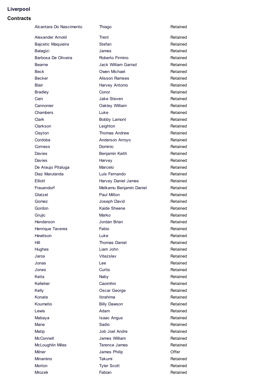# **Liverpool**

| Alcantara Do Nascimento | Thiago                  | Retained |
|-------------------------|-------------------------|----------|
| Alexander Arnold        | Trent                   | Retained |
| Bajcetic Maquieira      | Stefan                  | Retained |
| Balagizi                | James                   | Retained |
| Barbosa De Oliveira     | Roberto Firmino         | Retained |
| Bearne                  | Jack William Garrad     | Retained |
| Beck                    | Owen Michael            | Retained |
| <b>Becker</b>           | <b>Alisson Ramses</b>   | Retained |
| Blair                   | Harvey Antonio          | Retained |
| <b>Bradley</b>          | Conor                   | Retained |
| Cain                    | <b>Jake Steven</b>      | Retained |
| Cannonier               | Oakley William          | Retained |
| Chambers                | Luke                    | Retained |
| Clark                   | Bobby Lamont            | Retained |
| Clarkson                | Leighton                | Retained |
| Clayton                 | <b>Thomas Andrew</b>    | Retained |
| Cordoba                 | Anderson Arroyo         | Retained |
| Corness                 | Dominic                 | Retained |
| Davies                  | Benjamin Keith          | Retained |
| Davies                  | Harvey                  | Retained |
| De Araujo Pitaluga      | Marcelo                 | Retained |
| Diaz Marulanda          | Luis Fernando           | Retained |
| Elliott                 | Harvey Daniel James     | Retained |
| Frauendorf              | Melkamu Benjamin Daniel | Retained |
| Glatzel                 | Paul Milton             | Retained |
| Gomez                   | Joseph David            | Retained |
| Gordon                  | Kaide Sheene            | Retained |
| Grujic                  | Marko                   | Retained |
| Henderson               | Jordan Brian            | Retained |
| Henrique Taveres        | Fabio                   | Retained |
| <b>Hewitson</b>         | Luke                    | Retained |
| Hill                    | <b>Thomas Daniel</b>    | Retained |
| Hughes                  | Liam John               | Retained |
| Jaros                   | Vitezslav               | Retained |
| Jonas                   | Lee                     | Retained |
| Jones                   | Curtis                  | Retained |
| Keita                   | Naby                    | Retained |
| Kelleher                | Caoimhin                | Retained |
| Kelly                   | Oscar George            | Retained |
| Konate                  | Ibrahima                | Retained |
| Koumetio                | <b>Billy Dawson</b>     | Retained |
| Lewis                   | Adam                    | Retained |
| Mabaya                  | <b>Isaac Angus</b>      | Retained |
| Mane                    | Sadio                   | Retained |
| Matip                   | Job Joel Andre          | Retained |
| <b>McConnell</b>        | James William           | Retained |
| <b>McLoughlin Miles</b> | Terence James           | Retained |
| <b>Milner</b>           | James Philip            | Offer    |
| Minamino                | Takumi                  | Retained |
| Morton                  | <b>Tyler Scott</b>      | Retained |
| Mrozek                  | Fabian                  | Retained |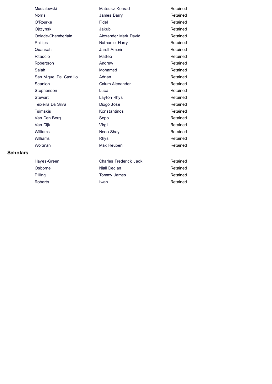| Musialowski             | Mateusz Konrad                | Retained |
|-------------------------|-------------------------------|----------|
| <b>Norris</b>           | James Barry                   | Retained |
| O'Rourke                | Fidel                         | Retained |
| Ojrzynski               | Jakub                         | Retained |
| Oxlade-Chamberlain      | Alexander Mark David          | Retained |
| Phillips                | Nathaniel Harry               | Retained |
| Quansah                 | Jarell Amorin                 | Retained |
| Ritaccio                | Matteo                        | Retained |
| Robertson               | Andrew                        | Retained |
| Salah                   | Mohamed                       | Retained |
| San Miguel Del Castillo | Adrian                        | Retained |
| Scanlon                 | Calum Alexander               | Retained |
| Stephenson              | Luca                          | Retained |
| <b>Stewart</b>          | Layton Rhys                   | Retained |
| Teixeira Da Silva       | Diogo Jose                    | Retained |
| Tsimakis                | Konstantinos                  | Retained |
| Van Den Berg            | Sepp                          | Retained |
| Van Dijk                | Virgil                        | Retained |
| Williams                | Neco Shay                     | Retained |
| Williams                | <b>Rhys</b>                   | Retained |
| Woltman                 | Max Reuben                    | Retained |
|                         |                               |          |
| Hayes-Green             | <b>Charles Frederick Jack</b> | Retained |
| Osborne                 | Niall Declan                  | Retained |
| Pilling                 | Tommy James                   | Retained |
| <b>Roberts</b>          | Iwan                          | Retained |

**Scholars**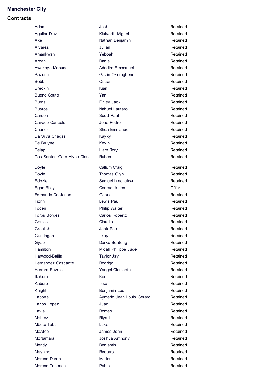## **Manchester City**

## **Contracts**

| Adam                       | Josh                          |
|----------------------------|-------------------------------|
| <b>Aguilar Diaz</b>        | Kluiverth Miguel              |
| Ake                        | Nathan Benjamir               |
| Alvarez                    | Julian                        |
| Amankwah                   | Yeboah                        |
| Arzani                     | Daniel                        |
| Awokoya-Mebude             | <b>Adedire Emmant</b>         |
| Bazunu                     | Gavin Okeroghe                |
| Bobb                       | Oscar                         |
| <b>Breckin</b>             | Kian                          |
| <b>Bueno Couto</b>         | Yan                           |
| Burns                      | <b>Finley Jack</b>            |
| Bustos                     | Nahuel Lautaro                |
| Carson                     | Scott Paul                    |
| Cavaco Cancelo             | Joao Pedro                    |
| Charles                    | <b>Shea Emmanuel</b>          |
| Da Silva Chagas            | Kayky                         |
| De Bruyne                  | Kevin                         |
| Delap                      | Liam Rory                     |
| Dos Santos Gato Alves Dias | Ruben                         |
|                            |                               |
| Doyle                      | Callum Craig                  |
| Doyle<br>Edozie            | Thomas Glyn<br>Samuel Ikechuk |
| Egan-Riley                 | Conrad Jaden                  |
| Fernando De Jesus          | Gabriel                       |
| Fiorini                    | Lewis Paul                    |
| Foden                      | <b>Philip Walter</b>          |
| Forbs Borges               | Carlos Roberto                |
| Gomes                      | Claudio                       |
| Grealish                   | <b>Jack Peter</b>             |
| Gundogan                   | Ilkay                         |
| Gyabi                      | Darko Boateng                 |
| Hamilton                   | Micah Philippe J              |
| Harwood-Bellis             | <b>Taylor Jay</b>             |
| Hernandez Cascante         | Rodrigo                       |
| Herrera Ravelo             | Yangel Clement                |
| Itakura                    | Kou                           |
| Kabore                     | Issa                          |
| Knight                     | Benjamin Leo                  |
| Laporte                    | Aymeric Jean Lo               |
| Larios Lopez               | Juan                          |
| Lavia                      | Romeo                         |
| Mahrez                     | Riyad                         |
| Mbete-Tabu                 | Luke                          |
|                            |                               |
| McAtee<br>McNamara         | James John                    |
|                            | Joshua Anthony                |
| Mendy                      | Benjamin                      |
| Meshino                    | Ryotaro                       |
| Moreno Duran               | Marlos                        |
| Moreno Taboada             | Pablo                         |

**Miguel** hjamin nmanuel roghene echukwu ppe Jude mente ean Louis Gerard thony Retained Retained Retained Retained Retained Retained Retained Retained Retained Retained Retained Retained Retained Retained Retained Retained Retained Retained Retained Retained Retained Retained Retained Retained Retained Retained Retained Retained Retained Retained **Offer** Retained Retained Retained Retained Retained Retained Retained Retained Retained Retained Retained Retained Retained Retained Retained Retained Retained Retained

Retained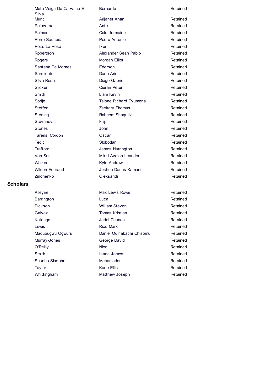| Mota Veiga De Carvalho E<br>Silva | <b>Bernardo</b>        | Retained |
|-----------------------------------|------------------------|----------|
| <b>Muric</b>                      | Arijanet Anan          | Retained |
| Palaversa                         | Ante                   | Retained |
| Palmer                            | Cole Jermaine          | Retained |
| Porro Sauceda                     | Pedro Antonio          | Retained |
| Pozo La Rosa                      | <b>Iker</b>            | Retained |
| Robertson                         | Alexander Sean Pablo   | Retained |
| Rogers                            | Morgan Elliot          | Retained |
| Santana De Moraes                 | Ederson                | Retained |
| Sarmiento                         | Dario Ariel            | Retained |
| Silva Rosa                        | Diego Gabriel          | Retained |
| Slicker                           | Cieran Peter           | Retained |
| Smith                             | Liam Kevin             | Retained |
| Sodje                             | Taione Richard Evumena | Retained |
| Steffen                           | Zackary Thomas         | Retained |
| Sterling                          | Raheem Shaquille       | Retained |
| Stevanovic                        | Filip                  | Retained |
| <b>Stones</b>                     | John                   | Retained |
| Tarensi Cordon                    | Oscar                  | Retained |
| Tedic                             | Slobodan               | Retained |
| <b>Trafford</b>                   | James Harrington       | Retained |
| Van Sas                           | Mikki Avelon Leander   | Retained |
| Walker                            | Kyle Andrew            | Retained |
| Wilson-Esbrand                    | Joshua Darius Kamani   | Retained |
| Zinchenko                         | Oleksandr              | Retained |
|                                   |                        |          |

# **Scholars**

| Alleyne           | Max Lewis Rowe            | Retained |
|-------------------|---------------------------|----------|
| <b>Barrington</b> | Luca                      | Retained |
| Dickson           | William Steven            | Retained |
| Galvez            | Tomas Kristian            | Retained |
| Katongo           | Jadel Chanda              | Retained |
| Lewis             | <b>Rico Mark</b>          | Retained |
| Madubugwu Ogwuru  | Daniel Odinakachi Chisomu | Retained |
| Murray-Jones      | George David              | Retained |
| O'Reilly          | <b>Nico</b>               | Retained |
| Smith             | <b>Isaac James</b>        | Retained |
| Susoho Sissoho    | Mahamadou                 | Retained |
| Taylor            | <b>Kane Ellis</b>         | Retained |
| Whittingham       | Matthew Joseph            | Retained |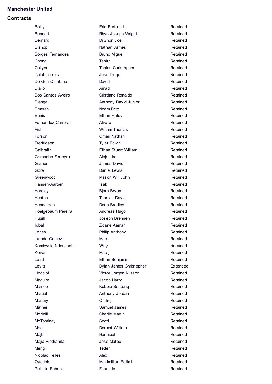#### **Manchester United**

#### **Contracts**

Bailly **Example 2018** Eric Bertrand Bennett Rhys Joseph Wright Bernard Di'Shon Joel Bishop Nathan James Borges Fernandes **Bruno Miguel** Chong Tahith Collyer Tobias Christopher Dalot Teixeira **Martia** Jose Diogo De Gea Quintana **David** Diallo **Amad** Dos Santos Aveiro **Cristiano Ronaldo** Elanga **Anthony David Junior** Emeran Noam Fritz Ennis Ethan Finley Fernandez Carreras **Alvaro** Fish William Thomas Forson **Omari Nathan** Fredricson Tyler Edwin Galbraith Ethan Stuart William Garnacho Ferreyra **Alejandro** Garner **Garner** James David Gore Daniel Lewis Greenwood Mason Will John Hansen-Aaroen Isak Hardley **Biorn Bryan** Heaton Thomas David Henderson Dean Bradley Hoelgebaum Pereira **Andreas Hugo** Hugill Joseph Brennen Iqbal **Zidane Aamar** Jones **Philip Anthony** Jurado Gomez Marc Kambwala Ndengushi Willy Kovar Matej Laird **Ethan Benjamin** Lindelof Victor Jorgen Nilsson Maguire **Maguire** Jacob Harry Mainoo Kobbie Boateng Martial Martial Anthony Jordan Mastny **Ondrej** Mather Samuel James McNeill Charlie Martin McTominay Scott Mee Dermot William Mejbri **Hannibal** Mejia Piedrahita Jose Mateo Mengi Teden Nicolao Telles **Alex** Oyedele Maximillian Rotimi Pellistri Rebollo **Facundo** 

Levitt **Dylan James Christopher** 

Retained Retained Retained

Retained Retained Retained Retained Retained Retained

Retained Retained Retained Retained Retained

Retained

Retained Retained Retained Retained Extended

Retained Retained

Retained Retained Retained Retained Retained Retained

Retained Retained Retained Retained Retained Retained

Retained Retained Retained Retained Retained Retained

Retained Retained Retained Retained Retained

Retained Retained Retained Retained Retained Retained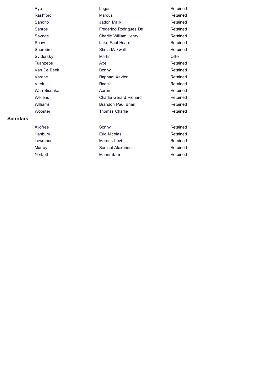|                 | Pye         | Logan                         | Retained |
|-----------------|-------------|-------------------------------|----------|
|                 | Rashford    | <b>Marcus</b>                 | Retained |
|                 | Sancho      | Jadon Malik                   | Retained |
|                 | Santos      | Frederico Rodrigues De        | Retained |
|                 | Savage      | Charlie William Henry         | Retained |
|                 | Shaw        | Luke Paul Hoare               | Retained |
|                 | Shoretire   | Shola Maxwell                 | Retained |
|                 | Svidersky   | Martin                        | Offer    |
|                 | Tuanzebe    | Axel                          | Retained |
|                 | Van De Beek | Donny                         | Retained |
|                 | Varane      | Raphael Xavier                | Retained |
|                 | Vitek       | Radek                         | Retained |
|                 | Wan-Bissaka | Aaron                         | Retained |
|                 | Wellens     | <b>Charlie Gerard Richard</b> | Retained |
|                 | Williams    | <b>Brandon Paul Brian</b>     | Retained |
|                 | Wooster     | <b>Thomas Charlie</b>         | Retained |
| <b>Scholars</b> |             |                               |          |
|                 | Aljofree    | Sonny                         | Retained |
|                 | Hanbury     | Eric Nicolas                  | Retained |
|                 | Lawrence    | Marcus Levi                   | Retained |
|                 | Murray      | Samuel Alexander              | Retained |

Norkett Manni Sam Retained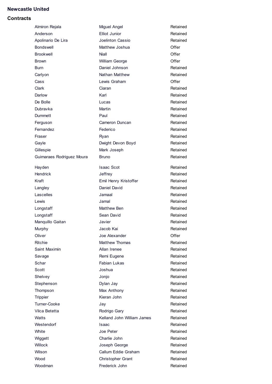# **Newcastle United**

| Almiron Rejala            | Miguel Angel               | Retained |
|---------------------------|----------------------------|----------|
| Anderson                  | <b>Elliot Junior</b>       | Retained |
| Apolinario De Lira        | Joelinton Cassio           | Retained |
| <b>Bondswell</b>          | Matthew Joshua             | Offer    |
| <b>Brookwell</b>          | Niall                      | Offer    |
| <b>Brown</b>              | William George             | Offer    |
| Burn                      | Daniel Johnson             | Retained |
| Carlyon                   | <b>Nathan Matthew</b>      | Retained |
| Cass                      | Lewis Graham               | Offer    |
| Clark                     | Ciaran                     | Retained |
| Darlow                    | Karl                       | Retained |
| De Bolle                  | Lucas                      | Retained |
| Dubravka                  | Martin                     | Retained |
| Dummett                   | Paul                       | Retained |
| Ferguson                  | Cameron Duncan             | Retained |
| Fernandez                 | Federico                   | Retained |
| Fraser                    | Ryan                       | Retained |
| Gayle                     | Dwight Devon Boyd          | Retained |
| Gillespie                 | Mark Joseph                | Retained |
| Guimaraes Rodriguez Moura | <b>Bruno</b>               | Retained |
|                           |                            |          |
| Hayden                    | <b>Isaac Scot</b>          | Retained |
| <b>Hendrick</b>           | Jeffrey                    | Retained |
| Kraft                     | Emil Henry Kristoffer      | Retained |
| Langley                   | Daniel David               | Retained |
| Lascelles                 | Jamaal                     | Retained |
| Lewis                     | Jamal                      | Retained |
| Longstaff                 | Matthew Ben                | Retained |
| Longstaff                 | Sean David                 | Retained |
| Manquillo Gaitan          | Javier                     | Retained |
| Murphy                    | Jacob Kai                  | Retained |
| Oliver                    | Joe Alexander              | Offer    |
| <b>Ritchie</b>            | <b>Matthew Thomas</b>      | Retained |
| Saint Maximin             | Allan Irenee               | Retained |
| Savage                    | Remi Eugene                | Retained |
| Schar                     | Fabian Lukas               | Retained |
| Scott                     | Joshua                     | Retained |
| Shelvey                   | Jonjo                      | Retained |
| Stephenson                | Dylan Jay                  | Retained |
| Thompson                  | Max Anthony                | Retained |
| <b>Trippier</b>           | Kieran John                | Retained |
| Turner-Cooke              | Jay                        | Retained |
| Vilca Betetta             | Rodrigo Gary               | Retained |
| Watts                     | Kelland John William James | Retained |
| Westendorf                | Isaac                      | Retained |
| White                     | Joe Peter                  | Retained |
| Wiggett                   | Charlie John               | Retained |
| <b>Willock</b>            | Joseph George              | Retained |
| Wilson                    | Callum Eddie Graham        | Retained |
| Wood                      | Christopher Grant          | Retained |
| Woodman                   | Frederick John             | Retained |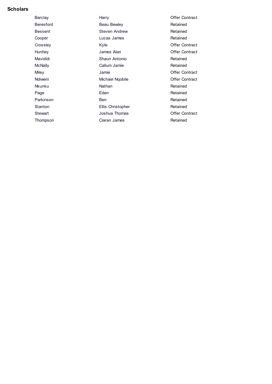# **Scholars**

| Barclay          | Harry                | <b>Offer Contract</b> |
|------------------|----------------------|-----------------------|
| <b>Beresford</b> | Beau Bewley          | Retained              |
| <b>Bessent</b>   | <b>Steven Andrew</b> | Retained              |
| Cooper           | Lucas James          | Retained              |
| Crossley         | Kyle                 | <b>Offer Contract</b> |
| Huntley          | James Alan           | <b>Offer Contract</b> |
| Mavididi         | Shaun Antonio        | Retained              |
| <b>McNally</b>   | Callum Jamie         | Retained              |
| Miley            | Jamie                | <b>Offer Contract</b> |
| Ndiweni          | Michael Ngobile      | Offer Contract        |
| Nkunku           | Nathan               | Retained              |
| Page             | Eden                 | Retained              |
| Parkinson        | Ben                  | Retained              |
| <b>Stanton</b>   | Ellis Christopher    | Retained              |
| Stewart          | Joshua Thomas        | <b>Offer Contract</b> |
| Thompson         | Ciaran James         | Retained              |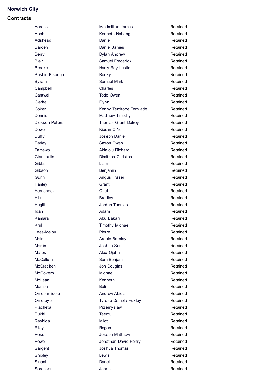# **Norwich City**

| Aarons           | <b>Maximillian James</b>  | Retained |
|------------------|---------------------------|----------|
| Ahoh             | Kenneth Nchang            | Retained |
| Adshead          | Daniel                    | Retained |
| <b>Barden</b>    | Daniel James              | Retained |
| <b>Berry</b>     | <b>Dylan Andrew</b>       | Retained |
| Blair            | Samuel Frederick          | Retained |
| <b>Brooke</b>    | Harry Roy Leslie          | Retained |
| Bushiri Kisonga  | Rocky                     | Retained |
| <b>Byram</b>     | Samuel Mark               | Retained |
| Campbell         | Charles                   | Retained |
| Cantwell         | <b>Todd Owen</b>          | Retained |
| Clarke           | Flynn                     | Retained |
| Coker            | Kenny Temitope Temilade   | Retained |
| Dennis           | <b>Matthew Timothy</b>    | Retained |
| Dickson-Peters   | Thomas Grant Delroy       | Retained |
| Dowell           | Kieran O'Neill            | Retained |
| Duffy            | Joseph Daniel             | Retained |
| Earley           | Saxon Owen                | Retained |
| Famewo           | <b>Akinlolu Richard</b>   | Retained |
| Giannoulis       | <b>Dimitrios Christos</b> | Retained |
| Gibbs            | Liam                      | Retained |
| Gibson           | Benjamin                  | Retained |
| Gunn             | Angus Fraser              | Retained |
| Hanley           | Grant                     | Retained |
| Hernandez        | Onel                      | Retained |
| Hills            | <b>Bradley</b>            | Retained |
| Hugill           | Jordan Thomas             | Retained |
| Idah             | Adam                      | Retained |
| Kamara           | Abu Bakarr                | Retained |
| Krul             | <b>Timothy Michael</b>    | Retained |
| Lees-Melou       | Pierre                    | Retained |
| Mair             | <b>Archie Barclay</b>     | Retained |
| Martin           | Joshua Saul               | Retained |
| Matos            | Alex Ojahn                | Retained |
| <b>McCallum</b>  | Sam Benjamin              | Retained |
| <b>McCracken</b> | Jon Douglas               | Retained |
| McGovern         | Michael                   | Retained |
| McLean           | Kenneth                   | Retained |
| Mumba            | Bali                      | Retained |
| Omobamidele      | Andrew Abiola             | Retained |
| Omotoye          | Tyrese Demola Huxley      | Retained |
| Placheta         | Przemyslaw                | Retained |
| Pukki            | Teemu                     | Retained |
| Rashica          | Milot                     | Retained |
| <b>Riley</b>     | Regan                     | Retained |
| Rose             | Joseph Matthew            | Retained |
| Rowe             | Jonathan David Henry      | Retained |
| Sargent          | Joshua Thomas             | Retained |
| Shipley          | Lewis                     | Retained |
| Sinani           | Danel                     | Retained |
| Sorensen         | Jacob                     | Retained |
|                  |                           |          |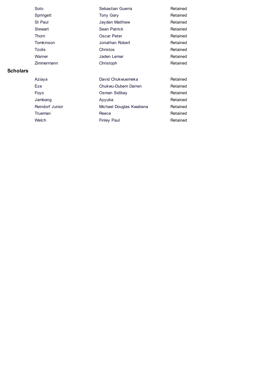| Soto            | Sebastian Guerra        | Retained |
|-----------------|-------------------------|----------|
| Springett       | <b>Tony Gary</b>        | Retained |
| St Paul         | Jayden Matthew          | Retained |
| <b>Stewart</b>  | Sean Patrick            | Retained |
| Thorn           | Oscar Peter             | Retained |
| Tomkinson       | Jonathan Robert         | Retained |
| <b>Tzolis</b>   | Christos                | Retained |
| Warner          | Jaden Lemar             | Retained |
| Zimmermann      | Christoph               | Retained |
|                 |                         |          |
| Aziaya          | David Chukwuemeka       | Retained |
| Eze             | Chukwu-Dubem Darren     | Retained |
| Foyo            | Osman Sidibay           | Retained |
| Jambang         | Ayyuba                  | Retained |
| Reindorf Junior | Michael Douglas Kwabena | Retained |
| Trueman         | Reece                   | Retained |

Retained

Welch Finley Paul

**Scholars**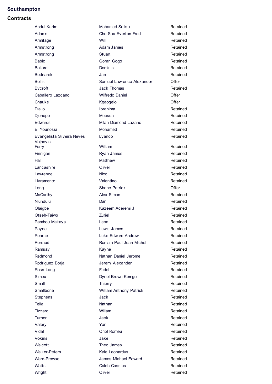#### **Southampton**

## **Contracts**

| Abdul Karim                | Mohamed Salisu                 |
|----------------------------|--------------------------------|
| Adams                      | Che Sac Everton Fred           |
| Armitage                   | Will                           |
| Armstrong                  | Adam James                     |
| Armstrong                  | Stuart                         |
| Babic                      | Goran Gogo                     |
| Ballard                    | Dominic                        |
| Bednarek                   | Jan                            |
| <b>Bellis</b>              | Samuel Lawrence Alexander      |
| Bycroft                    | <b>Jack Thomas</b>             |
| Caballero Lazcano          | <b>Wilfredo Daniel</b>         |
| Chauke                     | Kgaogelo                       |
| Diallo                     | Ibrahima                       |
| Djenepo                    | Moussa                         |
| Edwards                    | Milan Diamond Lazane           |
| El Younossi                | Mohamed                        |
| Evangelista Silveira Neves | Lyanco                         |
| Vojnovic                   |                                |
| Ferry                      | William                        |
| Finnigan                   | Ryan James                     |
| Hall                       | <b>Matthew</b>                 |
| Lancashire                 | Oliver                         |
| Lawrence                   | Nico                           |
| Livramento                 | Valentino                      |
| Long                       | <b>Shane Patrick</b>           |
| <b>McCarthy</b>            | Alex Simon                     |
| Nlundulu                   | Dan                            |
| Olaigbe                    | Kazeem Aderemi J.              |
| Otseh-Taiwo                | Zuriel                         |
| Pambou Makaya              | Leon                           |
| Payne                      | Lewis James                    |
| Pearce                     | Luke Edward Andrew             |
| Perraud                    | Romain Paul Jean Michel        |
| Ramsay                     | Kayne                          |
| Redmond                    | Nathan Daniel Jerome           |
| Rodriguez Borja            | Jeremi Alexander               |
| Ross-Lang                  | Fedel                          |
| Simeu                      | Dynel Brown Kemgo              |
| Small                      | <b>Thierry</b>                 |
| Smallbone                  | <b>William Anthony Patrick</b> |
| <b>Stephens</b>            | Jack                           |
| Tella                      | Nathan                         |
| Tizzard                    | Wiliam                         |
| Turner                     | Jack                           |
| Valery                     | Yan                            |
| Vidal                      | Oriol Romeu                    |
| <b>Vokins</b>              | Jake                           |
| Walcott                    | Theo James                     |
| <b>Walker-Peters</b>       | Kyle Leonardus                 |
| Ward-Prowse                | <b>James Michael Edward</b>    |
| Watts                      | Caleb Cassius                  |
| Wright                     | Oliver                         |

Retained Retained Retained

Retained Retained Retained Retained Retained Retained

Retained Retained Retained Retained Retained Retained

Retained Retained Retained Retained Retained Retained

Retained Retained Retained Retained Retained Retained

Retained Retained Retained Retained

Retained Retained Retained Retained Retained

Retained Retained

Retained Offer Retained **Offer** 

**Offer** Retained

Retained

Retained

Retained Retained Retained Retained

**Offer**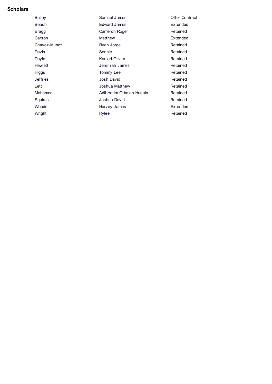# **Scholars**

| <b>Bailey</b>   | Samuel James             | <b>Offer Contract</b> |
|-----------------|--------------------------|-----------------------|
| Beach           | <b>Edward James</b>      | Extended              |
| Bragg           | Cameron Roger            | Retained              |
| Carson          | Matthew                  | Extended              |
| Chavez-Munoz    | Ryan Jorge               | Retained              |
| Davis           | Sonnie                   | Retained              |
| Doyle           | Kamari Olivier           | Retained              |
| <b>Hewlett</b>  | Jeremiah James           | Retained              |
| Higgs           | Tommy Lee                | Retained              |
| <b>Jeffries</b> | Josh David               | Retained              |
| Lett            | Joshua Matthew           | Retained              |
| Mohamed         | Adli Hatim Othman Husain | Retained              |
| Squires         | Joshua David             | Retained              |
| Woods           | Harvey James             | Extended              |
| Wright          | Rylee                    | Retained              |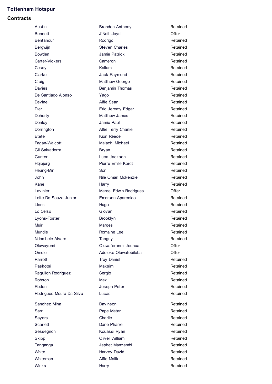#### **Tottenham Hotspur**

## **Contracts**

| Austin                   | <b>Brandon Anthony</b>        |
|--------------------------|-------------------------------|
| Bennett                  | J'Neil Lloyd                  |
| Bentancur                | Rodrigo                       |
| Bergwijn                 | <b>Steven Charles</b>         |
| <b>Bowden</b>            | Jamie Patrick                 |
| Carter-Vickers           | Cameron                       |
| Cesay                    | Kallum                        |
| Clarke                   | Jack Raymond                  |
| Craig                    | <b>Matthew George</b>         |
| Davies                   | Benjamin Thomas               |
| De Santiago Alonso       | Yago                          |
| Devine                   | Alfie Sean                    |
| Dier                     | Eric Jeremy Edgar             |
| Doherty                  | <b>Matthew James</b>          |
| Donley                   | Jamie Paul                    |
| Dorrington               | Alfie Terry Charlie           |
| Etete                    | Kion Reece                    |
| Fagan-Walcott            | Malachi Michael               |
| Gil Salvatierra          | Bryan                         |
| Gunter                   | Luca Jackson                  |
| Højbjerg                 | Pierre Emile Kordt            |
| Heung-Min                | Son                           |
| John                     | Nile Omari Mckenzie           |
| Kane                     | Harry                         |
| Lavinier                 | Marcel Edwin Rodrigues        |
| Leite De Souza Junior    | Emerson Aparecido             |
| Lloris                   | Hugo                          |
| Lo Celso                 | Giovani                       |
| Lyons-Foster             | Brooklyn                      |
| Muir                     | Marges                        |
| Mundle                   | Romaine Lee                   |
| Ndombele Alvaro          |                               |
|                          | Tanguy<br>Oluwaferanmi Joshua |
| Oluwayemi<br>Omole       | Adeleke Oluwatobiloba         |
| Parrott                  |                               |
|                          | <b>Troy Daniel</b>            |
| Paskotsi                 | Maksim                        |
| Reguilon Rodriguez       | Sergio                        |
| Robson                   | Max                           |
| Rodon                    | Joseph Peter                  |
| Rodrigues Moura Da Silva | Lucas                         |
| Sanchez Mina             | Davinson                      |
| Sarr                     | Pape Matar                    |
| Sayers                   | Charlie                       |
| Scarlett                 | Dane Pharrell                 |
| Sessegnon                | Kouassi Ryan                  |
| Skipp                    | Oliver William                |
| Tanganga                 | Japhet Manzambi               |
| White                    | Harvey David                  |
| Whiteman                 | <b>Alfie Malik</b>            |
| Winks                    | Harry                         |
|                          |                               |

Retained

Retained

Retained

Retained Retained Retained Retained Retained

Retained

Retained Retained Retained Retained

Retained Retained Retained **Offer** Retained Retained

Retained Retained Retained Retained Retained Retained

Retained Retained Retained Retained Retained Retained

Retained Retained Retained Retained Retained Retained

Retained **Offer** Retained

Retained **Offer Offer** Retained Retained

Retained Retained Retained

Retained Retained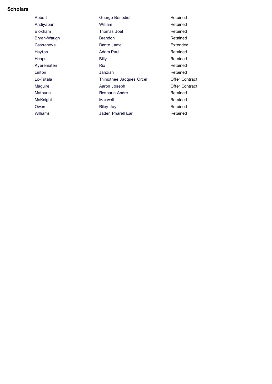# **Scholars**

| Abbott         | George Benedict         | Retained              |
|----------------|-------------------------|-----------------------|
| Andiyapan      | William                 | Retained              |
| <b>Bloxham</b> | Thomas Joel             | Retained              |
| Bryan-Waugh    | <b>Brandon</b>          | Retained              |
| Cassanova      | Dante Jamel             | Extended              |
| Hayton         | Adam Paul               | Retained              |
| Heaps          | Billy                   | Retained              |
| Kverematen     | Rio                     | Retained              |
| Linton         | Jahziah                 | Retained              |
| Lo-Tutala      | Thimothee Jacques Orcel | <b>Offer Contract</b> |
| Maguire        | Aaron Joseph            | Offer Contract        |
| Mathurin       | Roshaun Andre           | Retained              |
| McKnight       | Maxwell                 | Retained              |
| Owen           | Riley Jay               | Retained              |
| Williams       | Jaden Pharell Earl      | Retained              |
|                |                         |                       |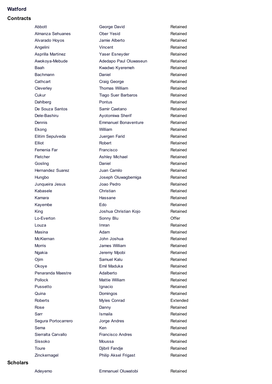## **Watford**

## **Contracts**

| Abbott                  | George David                | Retained |
|-------------------------|-----------------------------|----------|
| Almanza Sehuanes        | <b>Ober Yesid</b>           | Retained |
| Alvarado Hoyos          | Jamie Alberto               | Retained |
| Angelini                | Vincent                     | Retained |
| Asprilla Martinez       | Yaser Esneyder              | Retained |
| Awokoya-Mebude          | Adedapo Paul Oluwaseun      | Retained |
| Baah                    | Kwadwo Kyeremeh             | Retained |
| <b>Bachmann</b>         | Daniel                      | Retained |
| Cathcart                | Craig George                | Retained |
| Cleverley               | Thomas William              | Retained |
| Cukur                   | Tiago Suer Barbaros         | Retained |
| Dahlberg                | Pontus                      | Retained |
| De Souza Santos         | Samir Caetano               | Retained |
| Dele-Bashiru            | Ayotomiwa Sherif            | Retained |
| Dennis                  | <b>Emmanuel Bonaventure</b> | Retained |
| Ekong                   | William                     | Retained |
| Elitim Sepulveda        | Juergen Farid               | Retained |
| Elliot                  | Robert                      | Retained |
| Femenia Far             | Francisco                   | Retained |
| Fletcher                | Ashley Michael              | Retained |
| Gosling                 | Daniel                      | Retained |
| <b>Hernandez Suarez</b> | Juan Camilo                 | Retained |
| Hungbo                  | Joseph Oluwagbemiga         | Retained |
| Junqueira Jesus         | Joao Pedro                  | Retained |
| Kabasele                | Christian                   | Retained |
| Kamara                  | Hassane                     | Retained |
| Kayembe                 | Edo                         | Retained |
| King                    | Joshua Christian Kojo       | Retained |
| Lo-Everton              | Sonny Blu                   | Offer    |
| Louza                   | Imran                       | Retained |
| Masina                  | Adam                        | Retained |
| <b>McKiernan</b>        | John Joshua                 | Retained |
| Morris                  | James William               | Retained |
| Ngakia                  | Jeremy Mpobi                | Retained |
| Ojim                    | Samuel Kalu                 | Retained |
| Okoye                   | Emil Maduka                 | Retained |
| Penaranda Maestre       | Adalberto                   | Retained |
| Pollock                 | Mattie William              | Retained |
| Pussetto                | Ignacio                     | Retained |
| Quina                   | Domingos                    | Retained |
| Roberts                 | Myles Conrad                | Extended |
| Rose                    | Danny                       | Retained |
| Sarr                    | Ismaila                     | Retained |
| Segura Portocarrero     | Jorge Andres                | Retained |
| Sema                    | Ken                         | Retained |
| Sierralta Carvallo      | <b>Francisco Andres</b>     | Retained |
| Sissoko                 | Moussa                      | Retained |
| Toure                   | Djibril Fandje              | Retained |
| Zinckernagel            | Philip Aksel Frigast        | Retained |

## **Scholars**

Adeyemo Emmanuel Oluwatobi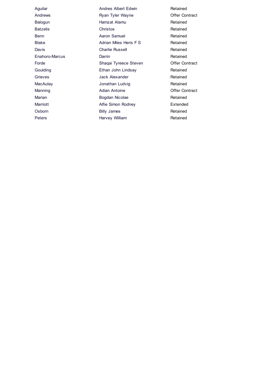Aguilar **Andres Albert Edwin** Andrews **Ryan Tyler Wayne** Balogun **Hamzat Alamu** Batzelis **Christos** Benn **Aaron** Samuel Blake **Adrian Miles Heris F S** Davis **Charlie Russell** Enahoro-Marcus Darrin Forde **Shaqai Tyreece Steven** Goulding Ethan John Lindsay Grieves **Jack Alexander** MacAulay **MacAulay** Jonathan Ludvig Manning Manning Adian Antoine Marian **Bogdan Nicolae** Marriott Marriott Alfie Simon Rodney Osborn Billy James Peters **Harvey William** Offer Contract Retained Extended Retained Retained Retained Retained Offer Contract Retained Retained Retained Retained Offer Contract Retained Retained Retained Retained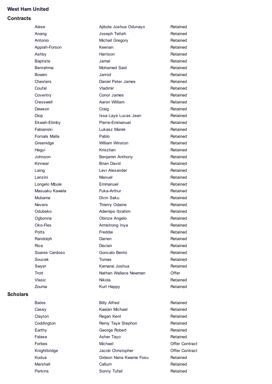#### **West Ham United**

#### **Contracts**

**Scholars**

| Alese           | Ajibola Joshua Odunayo | Retained  |
|-----------------|------------------------|-----------|
| Anang           | Joseph Tetteh          | Retained  |
| Antonio         | Michail Gregory        | Retained  |
| Appiah-Forson   | Keenan                 | Retained  |
| Ashby           | Harrison               | Retained  |
| <b>Baptiste</b> | Jamal                  | Retained  |
| <b>Benrahma</b> | Mohamed Said           | Retained  |
| Bowen           | Jarrod                 | Retained  |
| Chesters        | Daniel Peter James     | Retained  |
| Coufal          | Vladimir               | Retained  |
| Coventry        | Conor James            | Retained  |
| Cresswell       | Aaron William          | Retained  |
| Dawson          | Craig                  | Retained  |
| Diop            | Issa Laye Lucas Jean   | Retained  |
| Ekwah-Elimby    | Pierre-Emmanuel        | Retained  |
| Fabianski       | Lukasz Marek           | Retained  |
| Fornals Malla   | Pablo                  | Retained  |
| Greenidge       | William Winston        | Retained  |
| Hegyi           | Krisztian              | Retained  |
| Johnson         | Benjamin Anthony       | Retained  |
| Kinnear         | <b>Brian David</b>     | Retained  |
| Laing           | Levi Alexander         | Retained  |
| Lanzini         | Manuel                 | Retained  |
| Longelo Mbule   | Emmanuel               | Retained  |
| Masuaku Kawela  | Fuka-Arthur            | Retained  |
| Mubama          | Divin Saku             | Retained  |
| <b>Nevers</b>   | Thierry Odaine         | Retained  |
| Odubeko         | Ademipo Ibrahim        | Retained  |
| Ogbonna         | Obinze Angelo          | Retained  |
| Oko-Flex        | Armstrong Inya         | Retained  |
| Potts           | Freddie                | Retained  |
| Randolph        | Darren                 | Retained  |
| Rice            | Declan                 | Retained  |
| Soares Cardoso  | Goncalo Bento          | Retained  |
| Soucek          | Tomas                  | Retained  |
| Swyer           | Kamarai Joshua         | Retained  |
| <b>Trott</b>    | Nathan Wallace Newman  | Offer     |
| Vlasic          | Nikola                 | Retained  |
| Zouma           | Kurt Happy             | Retained  |
| <b>Bates</b>    | <b>Billy Alfred</b>    | Retained  |
| Casey           | Kaelan Michael         | Retained  |
| Clayton         | Regan Kent             | Retained  |
| Coddington      | Remy Taye Stephon      | Retained  |
| Earthy          | George Robert          | Retained  |
| Falase          | Asher Tayo             | Retained  |
| <b>Forbes</b>   | Michael                | Offer Cor |
|                 |                        |           |

Knightbridge **Jacob Christopher** 

Marshall **Callum** 

Kodua **Gideon Nana Kwame Fosu** 

Perkins **Sonny Tufail** Retained Retained Retained Retained Retained Retained Retained Offer Contract Offer Contract Retained Retained Retained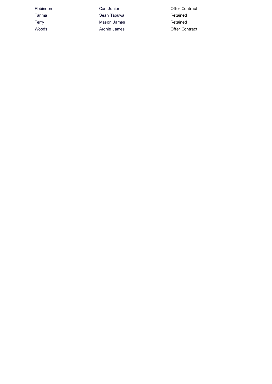Robinson Carl Junior Tarima **Sean Tapuwa** Terry **Mason James** Woods **Archie James** 

Offer Contract Retained Retained Offer Contract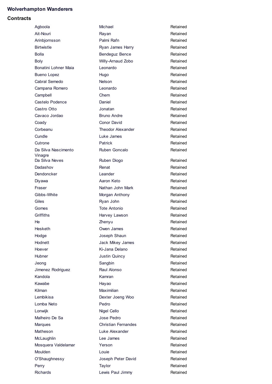## **Wolverhampton Wanderers**

| Agboola              | Michael                    | Retained |
|----------------------|----------------------------|----------|
| Ait-Nouri            | Rayan                      | Retained |
| Arinbjornsson        | Palmi Rafn                 | Retained |
| <b>Birtwistle</b>    | Ryan James Harry           | Retained |
| <b>Bolla</b>         | Bendeguz Bence             | Retained |
| <b>Boly</b>          | Willy-Arnaud Zobo          | Retained |
| Bonatini Lohner Maia | Leonardo                   | Retained |
| <b>Bueno Lopez</b>   | Hugo                       | Retained |
| Cabral Semedo        | <b>Nelson</b>              | Retained |
| Campana Romero       | Leonardo                   | Retained |
| Campbell             | Chem                       | Retained |
| Castelo Podence      | Daniel                     | Retained |
| Castro Otto          | Jonatan                    | Retained |
| Cavaco Jordao        | <b>Bruno Andre</b>         | Retained |
| Coady                | Conor David                | Retained |
| Corbeanu             | <b>Theodor Alexander</b>   | Retained |
| Cundle               | Luke James                 | Retained |
| Cutrone              | Patrick                    | Retained |
| Da Silva Nascimento  | Ruben Goncalo              | Retained |
| Vinagre              |                            |          |
| Da Silva Neves       | Ruben Diogo                | Retained |
| Dadashov             | Renat                      | Retained |
| Dendoncker           | Leander                    | Retained |
| Diyawa               | Aaron Keto                 | Retained |
| Fraser               | Nathan John Mark           | Retained |
| Gibbs-White          | Morgan Anthony             | Retained |
| Giles                | Ryan John                  | Retained |
| Gomes                | <b>Tote Antonio</b>        | Retained |
| Griffiths            | Harvey Lawson              | Retained |
| He                   | Zhenyu                     | Retained |
| <b>Hesketh</b>       | Owen James                 | Retained |
| Hodge                | Joseph Shaun               | Retained |
| Hodnett              | Jack Mikey James           | Retained |
| Hoever               | Ki-Jana Delano             | Retained |
| Hubner               | <b>Justin Quincy</b>       | Retained |
| Jeong                | Sangbin                    | Retained |
| Jimenez Rodriguez    | Raul Alonso                | Retained |
| Kandola              | Kamran                     | Retained |
| Kawabe               | Hayao                      | Retained |
| Kilman               | Maximilian                 | Retained |
| Lembikisa            | Dexter Joeng Woo           | Retained |
| Lomba Neto           | Pedro                      | Retained |
| Lonwijk              | Nigel Cello                | Retained |
| Malheiro De Sa       | Jose Pedro                 | Retained |
| <b>Marques</b>       | <b>Christian Fernandes</b> | Retained |
| Matheson             | Luke Alexander             | Retained |
| McLaughlin           | Lee James                  | Retained |
| Mosquera Valdelamar  | Yerson                     | Retained |
| <b>Moulden</b>       | Louie                      | Retained |
| O'Shaughnessy        | Joseph Peter David         | Retained |
| Perry                | Taylor                     | Retained |
| <b>Richards</b>      | Lewis Paul Jimmy           | Retained |